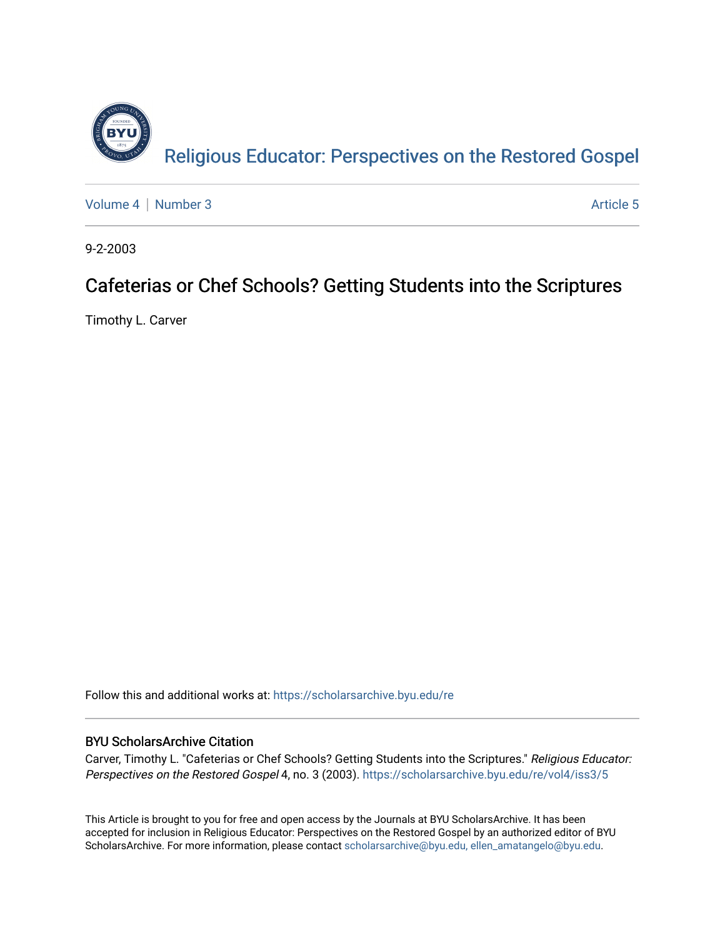

[Volume 4](https://scholarsarchive.byu.edu/re/vol4) | [Number 3](https://scholarsarchive.byu.edu/re/vol4/iss3) Article 5

9-2-2003

## Cafeterias or Chef Schools? Getting Students into the Scriptures

Timothy L. Carver

Follow this and additional works at: [https://scholarsarchive.byu.edu/re](https://scholarsarchive.byu.edu/re?utm_source=scholarsarchive.byu.edu%2Fre%2Fvol4%2Fiss3%2F5&utm_medium=PDF&utm_campaign=PDFCoverPages)

### BYU ScholarsArchive Citation

Carver, Timothy L. "Cafeterias or Chef Schools? Getting Students into the Scriptures." Religious Educator: Perspectives on the Restored Gospel 4, no. 3 (2003). https://scholarsarchive.byu.edu/re/vol4/iss3/5

This Article is brought to you for free and open access by the Journals at BYU ScholarsArchive. It has been accepted for inclusion in Religious Educator: Perspectives on the Restored Gospel by an authorized editor of BYU ScholarsArchive. For more information, please contact [scholarsarchive@byu.edu, ellen\\_amatangelo@byu.edu.](mailto:scholarsarchive@byu.edu,%20ellen_amatangelo@byu.edu)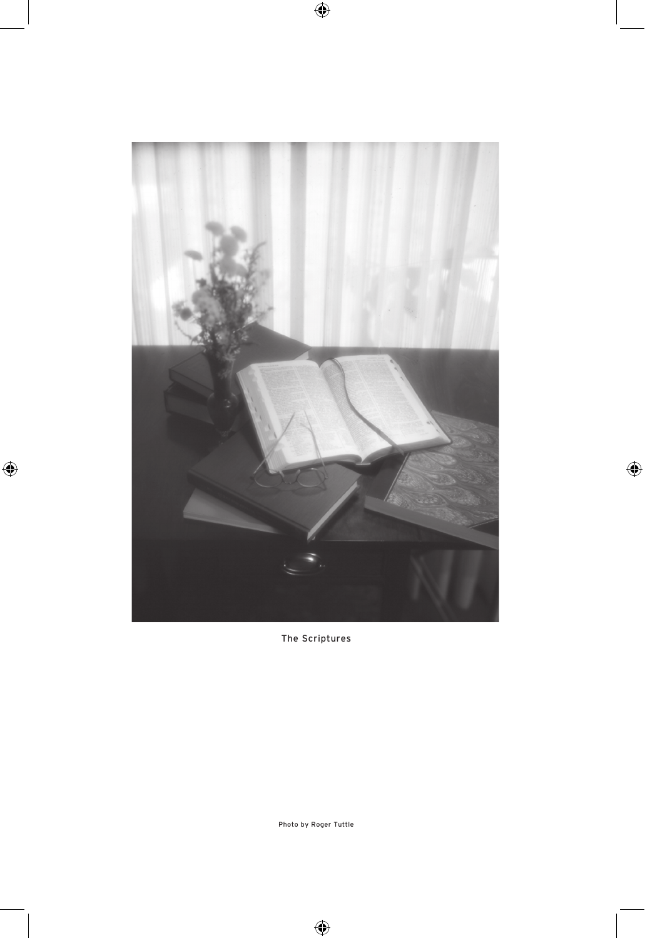

The Scriptures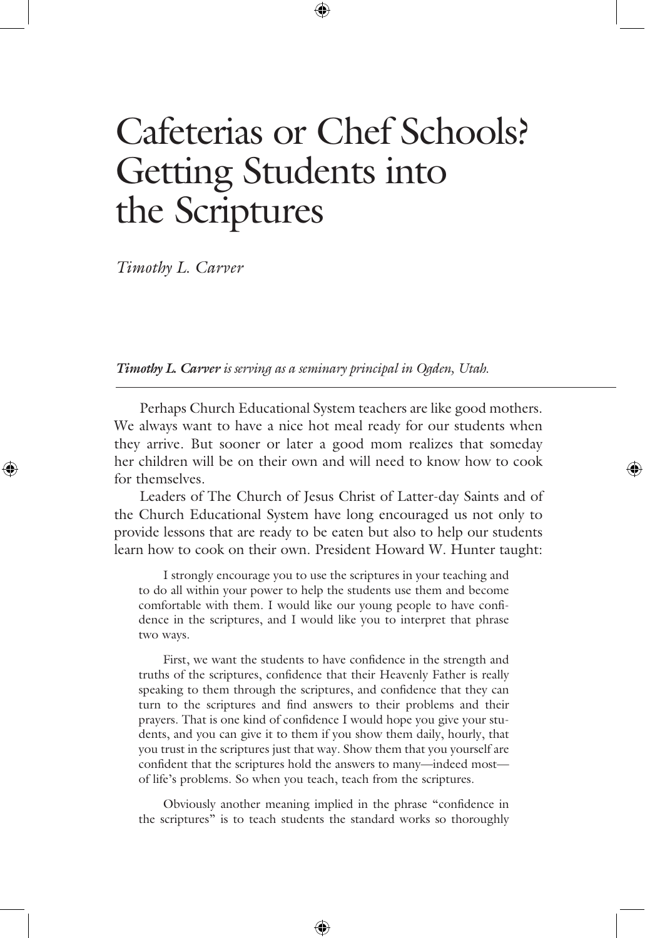# Cafeterias or Chef Schools? Getting Students into the Scriptures

*Timothy L. Carver*

*Timothy L. Carver is serving as a seminary principal in Ogden, Utah.*

 Perhaps Church Educational System teachers are like good mothers. We always want to have a nice hot meal ready for our students when they arrive. But sooner or later a good mom realizes that someday her children will be on their own and will need to know how to cook for themselves.

 Leaders of The Church of Jesus Christ of Latter-day Saints and of the Church Educational System have long encouraged us not only to provide lessons that are ready to be eaten but also to help our students learn how to cook on their own. President Howard W. Hunter taught:

 I strongly encourage you to use the scriptures in your teaching and to do all within your power to help the students use them and become comfortable with them. I would like our young people to have confidence in the scriptures, and I would like you to interpret that phrase two ways.

 First, we want the students to have confidence in the strength and truths of the scriptures, confidence that their Heavenly Father is really speaking to them through the scriptures, and confidence that they can turn to the scriptures and find answers to their problems and their prayers. That is one kind of confidence I would hope you give your students, and you can give it to them if you show them daily, hourly, that you trust in the scriptures just that way. Show them that you yourself are confident that the scriptures hold the answers to many—indeed most of life's problems. So when you teach, teach from the scriptures.

 Obviously another meaning implied in the phrase "confidence in the scriptures" is to teach students the standard works so thoroughly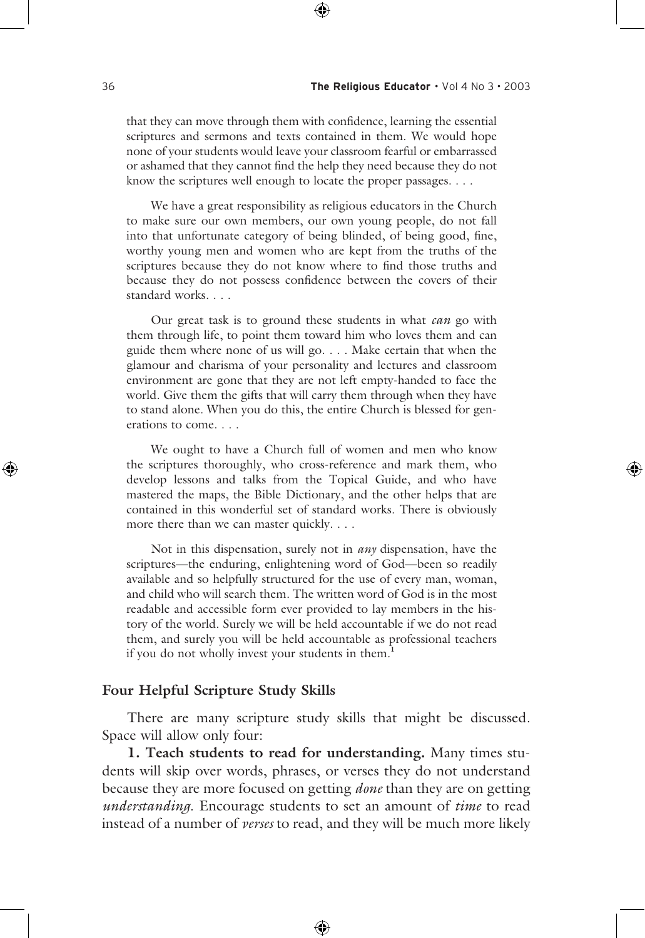that they can move through them with confidence, learning the essential scriptures and sermons and texts contained in them. We would hope none of your students would leave your classroom fearful or embarrassed or ashamed that they cannot find the help they need because they do not know the scriptures well enough to locate the proper passages. . . .

 We have a great responsibility as religious educators in the Church to make sure our own members, our own young people, do not fall into that unfortunate category of being blinded, of being good, fine, worthy young men and women who are kept from the truths of the scriptures because they do not know where to find those truths and because they do not possess confidence between the covers of their standard works. . . .

 Our great task is to ground these students in what *can* go with them through life, to point them toward him who loves them and can guide them where none of us will go. . . . Make certain that when the glamour and charisma of your personality and lectures and classroom environment are gone that they are not left empty-handed to face the world. Give them the gifts that will carry them through when they have to stand alone. When you do this, the entire Church is blessed for generations to come. . . .

 We ought to have a Church full of women and men who know the scriptures thoroughly, who cross-reference and mark them, who develop lessons and talks from the Topical Guide, and who have mastered the maps, the Bible Dictionary, and the other helps that are contained in this wonderful set of standard works. There is obviously more there than we can master quickly. . . .

 Not in this dispensation, surely not in *any* dispensation, have the scriptures—the enduring, enlightening word of God—been so readily available and so helpfully structured for the use of every man, woman, and child who will search them. The written word of God is in the most readable and accessible form ever provided to lay members in the history of the world. Surely we will be held accountable if we do not read them, and surely you will be held accountable as professional teachers if you do not wholly invest your students in them.**<sup>1</sup>**

#### **Four Helpful Scripture Study Skills**

 There are many scripture study skills that might be discussed. Space will allow only four:

**1. Teach students to read for understanding.** Many times students will skip over words, phrases, or verses they do not understand because they are more focused on getting *done* than they are on getting *understanding*. Encourage students to set an amount of *time* to read instead of a number of *verses* to read, and they will be much more likely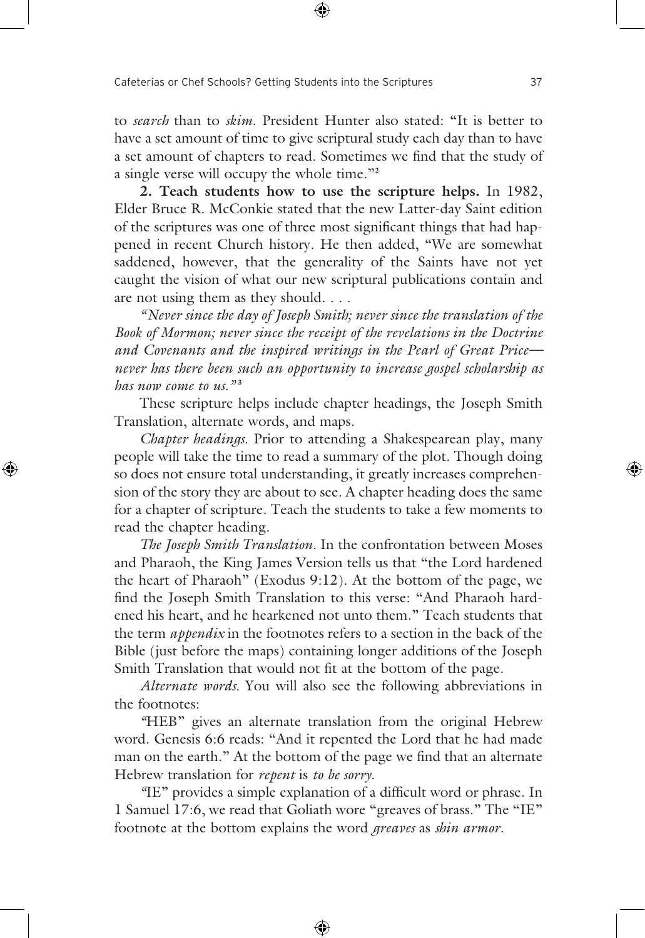to *search* than to *skim*. President Hunter also stated: "It is better to have a set amount of time to give scriptural study each day than to have a set amount of chapters to read. Sometimes we find that the study of a single verse will occupy the whole time."**<sup>2</sup>**

**2. Teach students how to use the scripture helps.** In 1982, Elder Bruce R. McConkie stated that the new Latter-day Saint edition of the scriptures was one of three most significant things that had happened in recent Church history. He then added, "We are somewhat saddened, however, that the generality of the Saints have not yet caught the vision of what our new scriptural publications contain and are not using them as they should. . . .

 *"Never since the day of Joseph Smith; never since the translation of the Book of Mormon; never since the receipt of the revelations in the Doctrine and Covenants and the inspired writings in the Pearl of Great Price never has there been such an opportunity to increase gospel scholarship as has now come to us.*<sup>33</sup>

 These scripture helps include chapter headings, the Joseph Smith Translation, alternate words, and maps.

*Chapter headings.* Prior to attending a Shakespearean play, many people will take the time to read a summary of the plot. Though doing so does not ensure total understanding, it greatly increases comprehension of the story they are about to see. A chapter heading does the same for a chapter of scripture. Teach the students to take a few moments to read the chapter heading.

*The Joseph Smith Translation.* In the confrontation between Moses and Pharaoh, the King James Version tells us that "the Lord hardened the heart of Pharaoh" (Exodus 9:12). At the bottom of the page, we find the Joseph Smith Translation to this verse: "And Pharaoh hardened his heart, and he hearkened not unto them." Teach students that the term *appendix* in the footnotes refers to a section in the back of the Bible (just before the maps) containing longer additions of the Joseph Smith Translation that would not fit at the bottom of the page.

*Alternate words.* You will also see the following abbreviations in the footnotes:

 *"*HEB" gives an alternate translation from the original Hebrew word. Genesis 6:6 reads: "And it repented the Lord that he had made man on the earth." At the bottom of the page we find that an alternate Hebrew translation for *repent* is *to be sorry.* 

 *"*IE" provides a simple explanation of a difficult word or phrase. In 1 Samuel 17:6, we read that Goliath wore "greaves of brass." The "IE" footnote at the bottom explains the word *greaves* as *shin armor.*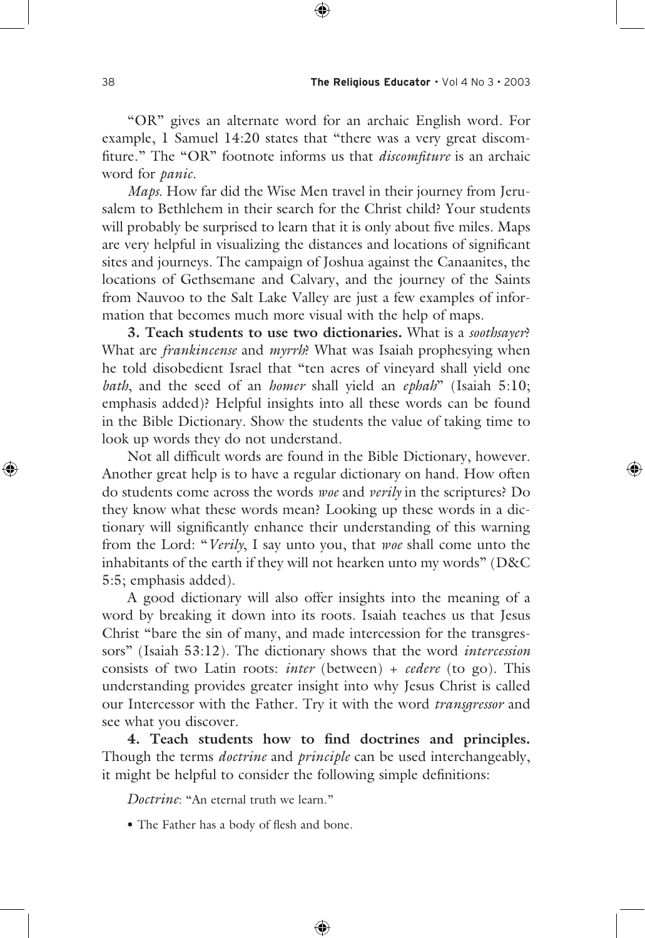"OR" gives an alternate word for an archaic English word. For example, 1 Samuel 14:20 states that "there was a very great discomfiture." The "OR" footnote informs us that *discomfiture* is an archaic word for *panic.*

*Maps.* How far did the Wise Men travel in their journey from Jerusalem to Bethlehem in their search for the Christ child? Your students will probably be surprised to learn that it is only about five miles. Maps are very helpful in visualizing the distances and locations of significant sites and journeys. The campaign of Joshua against the Canaanites, the locations of Gethsemane and Calvary, and the journey of the Saints from Nauvoo to the Salt Lake Valley are just a few examples of information that becomes much more visual with the help of maps.

**3. Teach students to use two dictionaries.** What is a *soothsayer*? What are *frankincense* and *myrrh*? What was Isaiah prophesying when he told disobedient Israel that "ten acres of vineyard shall yield one *bath*, and the seed of an *homer* shall yield an *ephah*" (Isaiah 5:10; emphasis added)? Helpful insights into all these words can be found in the Bible Dictionary. Show the students the value of taking time to look up words they do not understand.

 Not all difficult words are found in the Bible Dictionary, however. Another great help is to have a regular dictionary on hand. How often do students come across the words *woe* and *verily* in the scriptures? Do they know what these words mean? Looking up these words in a dictionary will significantly enhance their understanding of this warning from the Lord: "*Verily*, I say unto you, that *woe* shall come unto the inhabitants of the earth if they will not hearken unto my words" (D&C 5:5; emphasis added).

 A good dictionary will also offer insights into the meaning of a word by breaking it down into its roots. Isaiah teaches us that Jesus Christ "bare the sin of many, and made intercession for the transgressors" (Isaiah 53:12). The dictionary shows that the word *intercession* consists of two Latin roots: *inter* (between) + *cedere* (to go). This understanding provides greater insight into why Jesus Christ is called our Intercessor with the Father. Try it with the word *transgressor* and see what you discover.

**4. Teach students how to find doctrines and principles.** Though the terms *doctrine* and *principle* can be used interchangeably, it might be helpful to consider the following simple definitions:

*Doctrine*: "An eternal truth we learn."

• The Father has a body of flesh and bone.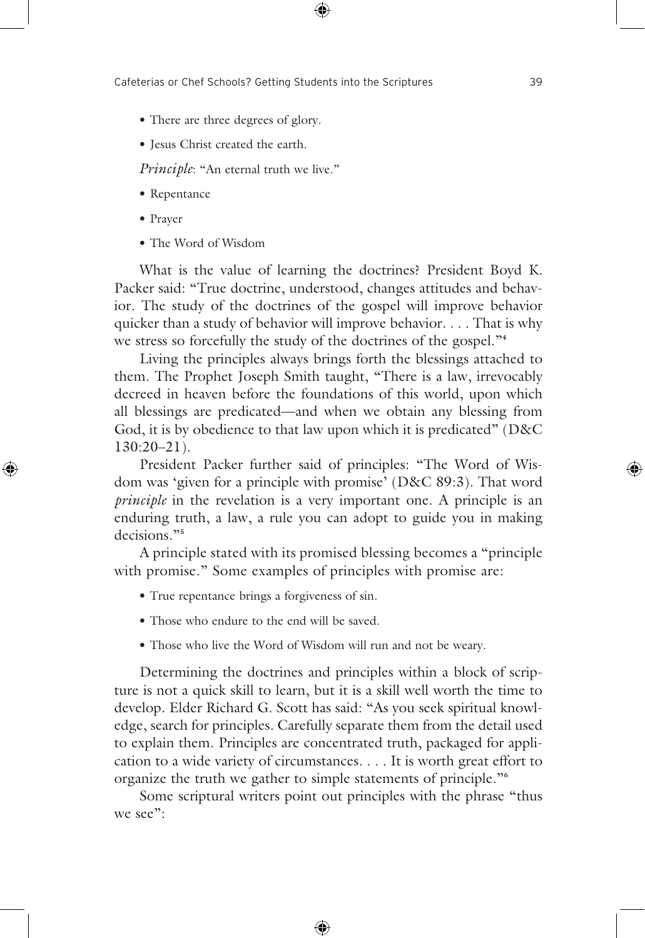- There are three degrees of glory.
- Jesus Christ created the earth.

*Principle*: "An eternal truth we live."

- Repentance
- Prayer
- The Word of Wisdom

 What is the value of learning the doctrines? President Boyd K. Packer said: "True doctrine, understood, changes attitudes and behavior. The study of the doctrines of the gospel will improve behavior quicker than a study of behavior will improve behavior. . . . That is why we stress so forcefully the study of the doctrines of the gospel."**<sup>4</sup>**

 Living the principles always brings forth the blessings attached to them. The Prophet Joseph Smith taught, "There is a law, irrevocably decreed in heaven before the foundations of this world, upon which all blessings are predicated—and when we obtain any blessing from God, it is by obedience to that law upon which it is predicated" (D&C 130:20–21).

 President Packer further said of principles: "The Word of Wisdom was 'given for a principle with promise' (D&C 89:3). That word *principle* in the revelation is a very important one. A principle is an enduring truth, a law, a rule you can adopt to guide you in making decisions."**<sup>5</sup>**

 A principle stated with its promised blessing becomes a "principle with promise." Some examples of principles with promise are:

- True repentance brings a forgiveness of sin.
- Those who endure to the end will be saved.
- Those who live the Word of Wisdom will run and not be weary.

 Determining the doctrines and principles within a block of scripture is not a quick skill to learn, but it is a skill well worth the time to develop. Elder Richard G. Scott has said: "As you seek spiritual knowledge, search for principles. Carefully separate them from the detail used to explain them. Principles are concentrated truth, packaged for application to a wide variety of circumstances. . . . It is worth great effort to organize the truth we gather to simple statements of principle."**<sup>6</sup>**

 Some scriptural writers point out principles with the phrase "thus we see":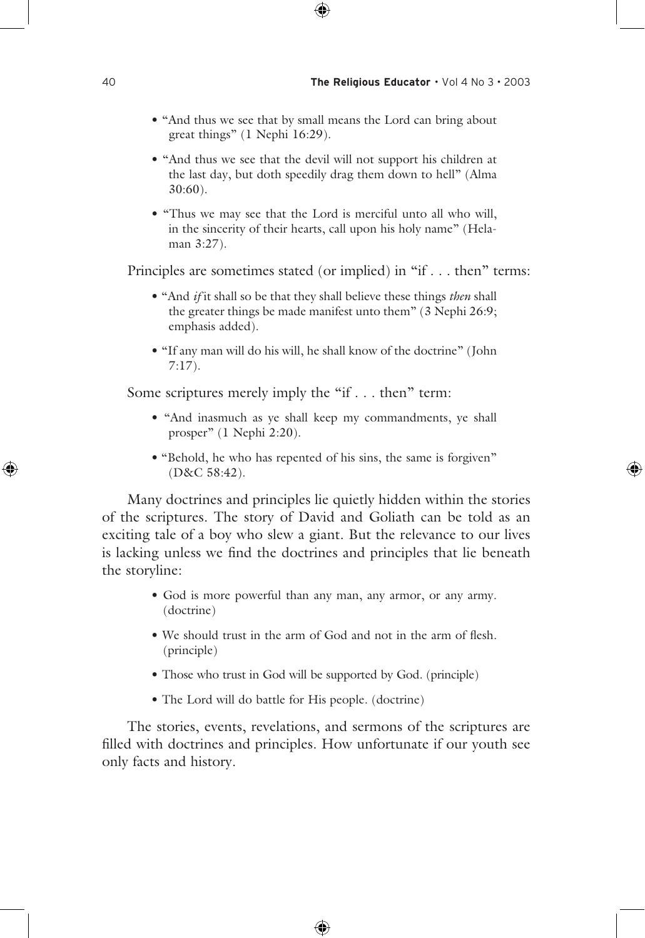- "And thus we see that by small means the Lord can bring about great things" (1 Nephi 16:29).
- "And thus we see that the devil will not support his children at the last day, but doth speedily drag them down to hell" (Alma 30:60).
- "Thus we may see that the Lord is merciful unto all who will, in the sincerity of their hearts, call upon his holy name" (Helaman 3:27).

Principles are sometimes stated (or implied) in "if . . . then" terms:

- "And *if* it shall so be that they shall believe these things *then* shall the greater things be made manifest unto them" (3 Nephi 26:9; emphasis added).
- "If any man will do his will, he shall know of the doctrine" (John 7:17).

Some scriptures merely imply the "if . . . then" term:

- "And inasmuch as ye shall keep my commandments, ye shall prosper" (1 Nephi 2:20).
- "Behold, he who has repented of his sins, the same is forgiven" (D&C 58:42).

 Many doctrines and principles lie quietly hidden within the stories of the scriptures. The story of David and Goliath can be told as an exciting tale of a boy who slew a giant. But the relevance to our lives is lacking unless we find the doctrines and principles that lie beneath the storyline:

- God is more powerful than any man, any armor, or any army. (doctrine)
- We should trust in the arm of God and not in the arm of flesh. (principle)
- Those who trust in God will be supported by God. (principle)
- The Lord will do battle for His people. (doctrine)

 The stories, events, revelations, and sermons of the scriptures are filled with doctrines and principles. How unfortunate if our youth see only facts and history.